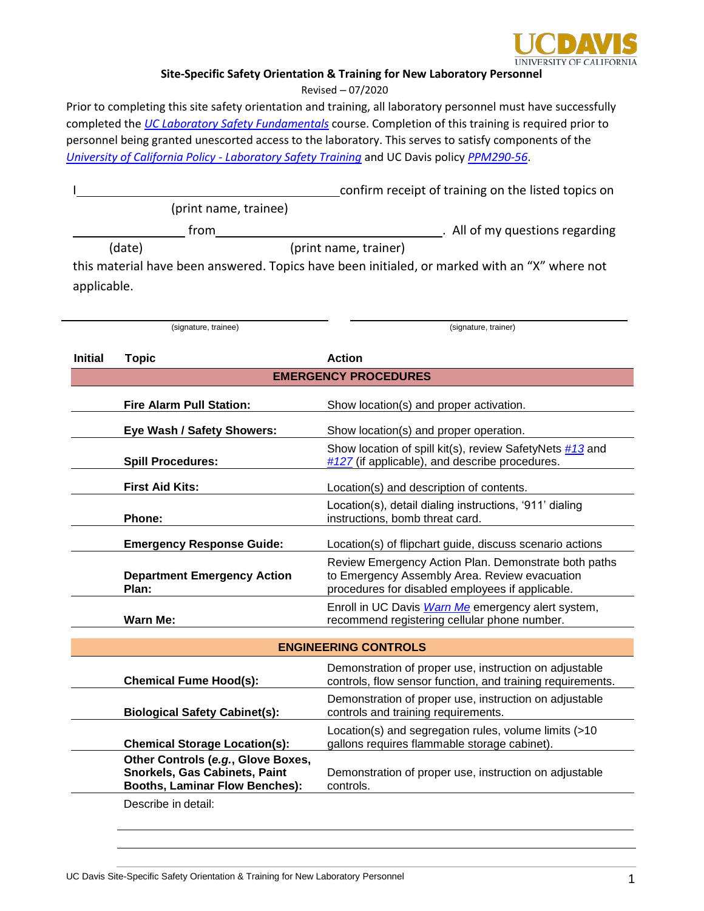

## **Site-Specific Safety Orientation & Training for New Laboratory Personnel**

Revised – 07/2020

Prior to completing this site safety orientation and training, all laboratory personnel must have successfully completed the *[UC Laboratory Safety Fundamentals](https://uc.sumtotal.host/core/pillarRedirect?relyingParty=LM&url=app%2Fmanagement%2FLMS_ActDetails.aspx%3FActivityId%3D168709%26UserMode%3D0)* course. Completion of this training is required prior to personnel being granted unescorted access to the laboratory. This serves to satisfy components of the *[University of California Policy -](http://policy.ucop.edu/doc/3500598/LabSafetyTraining) Laboratory Safety Training* and UC Davis policy *[PPM290-56](https://ucdavispolicy.ellucid.com/documents/view/305)*.

|                |                                                                                                                     | confirm receipt of training on the listed topics on                                                                                                       |
|----------------|---------------------------------------------------------------------------------------------------------------------|-----------------------------------------------------------------------------------------------------------------------------------------------------------|
|                | (print name, trainee)                                                                                               |                                                                                                                                                           |
|                | from                                                                                                                | . All of my questions regarding                                                                                                                           |
|                | (date)                                                                                                              | (print name, trainer)                                                                                                                                     |
|                |                                                                                                                     | this material have been answered. Topics have been initialed, or marked with an "X" where not                                                             |
| applicable.    |                                                                                                                     |                                                                                                                                                           |
|                |                                                                                                                     |                                                                                                                                                           |
|                | (signature, trainee)                                                                                                | (signature, trainer)                                                                                                                                      |
| <b>Initial</b> | <b>Topic</b>                                                                                                        | <b>Action</b>                                                                                                                                             |
|                |                                                                                                                     | <b>EMERGENCY PROCEDURES</b>                                                                                                                               |
|                | <b>Fire Alarm Pull Station:</b>                                                                                     | Show location(s) and proper activation.                                                                                                                   |
|                | Eye Wash / Safety Showers:                                                                                          | Show location(s) and proper operation.                                                                                                                    |
|                |                                                                                                                     | Show location of spill kit(s), review SafetyNets #13 and                                                                                                  |
|                | <b>Spill Procedures:</b>                                                                                            | $#127$ (if applicable), and describe procedures.                                                                                                          |
|                | <b>First Aid Kits:</b>                                                                                              | Location(s) and description of contents.                                                                                                                  |
|                | Phone:                                                                                                              | Location(s), detail dialing instructions, '911' dialing<br>instructions, bomb threat card.                                                                |
|                | <b>Emergency Response Guide:</b>                                                                                    | Location(s) of flipchart guide, discuss scenario actions                                                                                                  |
|                | <b>Department Emergency Action</b><br>Plan:                                                                         | Review Emergency Action Plan. Demonstrate both paths<br>to Emergency Assembly Area. Review evacuation<br>procedures for disabled employees if applicable. |
|                | <b>Warn Me:</b>                                                                                                     | Enroll in UC Davis <i>Warn Me</i> emergency alert system,<br>recommend registering cellular phone number.                                                 |
|                |                                                                                                                     | <b>ENGINEERING CONTROLS</b>                                                                                                                               |
|                |                                                                                                                     | Demonstration of proper use, instruction on adjustable                                                                                                    |
|                | <b>Chemical Fume Hood(s):</b>                                                                                       | controls, flow sensor function, and training requirements.                                                                                                |
|                | <b>Biological Safety Cabinet(s):</b>                                                                                | Demonstration of proper use, instruction on adjustable<br>controls and training requirements.                                                             |
|                | <b>Chemical Storage Location(s):</b>                                                                                | Location(s) and segregation rules, volume limits (>10<br>gallons requires flammable storage cabinet).                                                     |
|                | Other Controls (e.g., Glove Boxes,<br><b>Snorkels, Gas Cabinets, Paint</b><br><b>Booths, Laminar Flow Benches):</b> | Demonstration of proper use, instruction on adjustable<br>controls.                                                                                       |
|                | Describe in detail:                                                                                                 |                                                                                                                                                           |